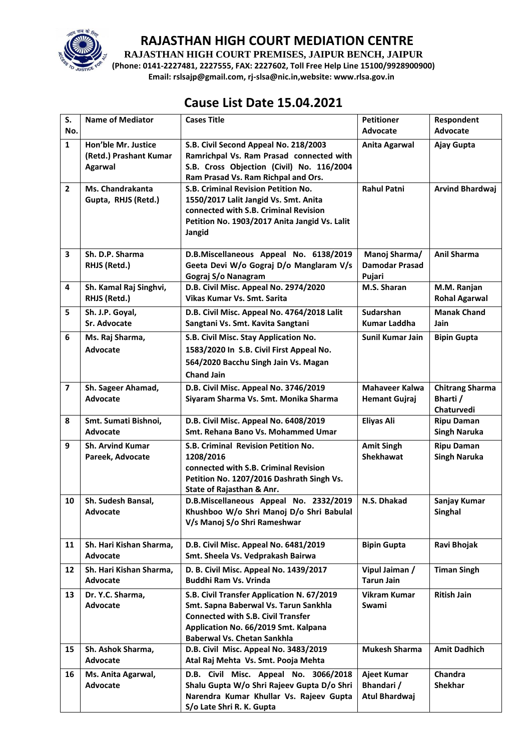

**RAJASTHAN HIGH COURT PREMISES, JAIPUR BENCH, JAIPUR**

**(Phone: 0141-2227481, 2227555, FAX: 2227602, Toll Free Help Line 15100/9928900900) Email: rslsajp@gmail.com, rj-slsa@nic.in,website: www.rlsa.gov.in**

# **Cause List Date 15.04.2021**

| S.                      | <b>Name of Mediator</b>                                  | <b>Cases Title</b>                                                                                                                                                                                             | <b>Petitioner</b>                                | Respondent                                       |
|-------------------------|----------------------------------------------------------|----------------------------------------------------------------------------------------------------------------------------------------------------------------------------------------------------------------|--------------------------------------------------|--------------------------------------------------|
| No.                     |                                                          |                                                                                                                                                                                                                | <b>Advocate</b>                                  | <b>Advocate</b>                                  |
| $\mathbf{1}$            | Hon'ble Mr. Justice<br>(Retd.) Prashant Kumar<br>Agarwal | S.B. Civil Second Appeal No. 218/2003<br>Ramrichpal Vs. Ram Prasad connected with<br>S.B. Cross Objection (Civil) No. 116/2004<br>Ram Prasad Vs. Ram Richpal and Ors.                                          | <b>Anita Agarwal</b>                             | Ajay Gupta                                       |
| $\overline{2}$          | <b>Ms. Chandrakanta</b><br>Gupta, RHJS (Retd.)           | <b>S.B. Criminal Revision Petition No.</b><br>1550/2017 Lalit Jangid Vs. Smt. Anita<br>connected with S.B. Criminal Revision<br>Petition No. 1903/2017 Anita Jangid Vs. Lalit<br>Jangid                        | <b>Rahul Patni</b>                               | <b>Arvind Bhardwaj</b>                           |
| 3                       | Sh. D.P. Sharma<br>RHJS (Retd.)                          | D.B.Miscellaneous Appeal No. 6138/2019<br>Geeta Devi W/o Gograj D/o Manglaram V/s<br>Gograj S/o Nanagram                                                                                                       | Manoj Sharma/<br><b>Damodar Prasad</b><br>Pujari | <b>Anil Sharma</b>                               |
| 4                       | Sh. Kamal Raj Singhvi,<br>RHJS (Retd.)                   | D.B. Civil Misc. Appeal No. 2974/2020<br>Vikas Kumar Vs. Smt. Sarita                                                                                                                                           | M.S. Sharan                                      | M.M. Ranjan<br><b>Rohal Agarwal</b>              |
| 5                       | Sh. J.P. Goyal,<br>Sr. Advocate                          | D.B. Civil Misc. Appeal No. 4764/2018 Lalit<br>Sangtani Vs. Smt. Kavita Sangtani                                                                                                                               | <b>Sudarshan</b><br><b>Kumar Laddha</b>          | <b>Manak Chand</b><br>Jain                       |
| 6                       | Ms. Raj Sharma,<br><b>Advocate</b>                       | S.B. Civil Misc. Stay Application No.<br>1583/2020 In S.B. Civil First Appeal No.<br>564/2020 Bacchu Singh Jain Vs. Magan<br><b>Chand Jain</b>                                                                 | Sunil Kumar Jain                                 | <b>Bipin Gupta</b>                               |
| $\overline{\mathbf{z}}$ | Sh. Sageer Ahamad,<br>Advocate                           | D.B. Civil Misc. Appeal No. 3746/2019<br>Siyaram Sharma Vs. Smt. Monika Sharma                                                                                                                                 | <b>Mahaveer Kalwa</b><br><b>Hemant Gujraj</b>    | <b>Chitrang Sharma</b><br>Bharti /<br>Chaturvedi |
| 8                       | Smt. Sumati Bishnoi,<br>Advocate                         | D.B. Civil Misc. Appeal No. 6408/2019<br>Smt. Rehana Bano Vs. Mohammed Umar                                                                                                                                    | <b>Eliyas Ali</b>                                | <b>Ripu Daman</b><br><b>Singh Naruka</b>         |
| 9                       | <b>Sh. Arvind Kumar</b><br>Pareek, Advocate              | S.B. Criminal Revision Petition No.<br>1208/2016<br>connected with S.B. Criminal Revision<br>Petition No. 1207/2016 Dashrath Singh Vs.<br>State of Rajasthan & Anr.                                            | <b>Amit Singh</b><br><b>Shekhawat</b>            | <b>Ripu Daman</b><br><b>Singh Naruka</b>         |
| 10                      | Sh. Sudesh Bansal,<br>Advocate                           | D.B.Miscellaneous Appeal No. 2332/2019<br>Khushboo W/o Shri Manoj D/o Shri Babulal<br>V/s Manoj S/o Shri Rameshwar                                                                                             | N.S. Dhakad                                      | Sanjay Kumar<br>Singhal                          |
| 11                      | Sh. Hari Kishan Sharma,<br>Advocate                      | D.B. Civil Misc. Appeal No. 6481/2019<br>Smt. Sheela Vs. Vedprakash Bairwa                                                                                                                                     | <b>Bipin Gupta</b>                               | Ravi Bhojak                                      |
| 12                      | Sh. Hari Kishan Sharma,<br>Advocate                      | D. B. Civil Misc. Appeal No. 1439/2017<br>Buddhi Ram Vs. Vrinda                                                                                                                                                | Vipul Jaiman /<br><b>Tarun Jain</b>              | <b>Timan Singh</b>                               |
| 13                      | Dr. Y.C. Sharma,<br>Advocate                             | S.B. Civil Transfer Application N. 67/2019<br>Smt. Sapna Baberwal Vs. Tarun Sankhla<br><b>Connected with S.B. Civil Transfer</b><br>Application No. 66/2019 Smt. Kalpana<br><b>Baberwal Vs. Chetan Sankhla</b> | <b>Vikram Kumar</b><br>Swami                     | <b>Ritish Jain</b>                               |
| 15                      | Sh. Ashok Sharma,<br><b>Advocate</b>                     | D.B. Civil Misc. Appeal No. 3483/2019<br>Atal Raj Mehta Vs. Smt. Pooja Mehta                                                                                                                                   | <b>Mukesh Sharma</b>                             | <b>Amit Dadhich</b>                              |
| 16                      | Ms. Anita Agarwal,<br>Advocate                           | D.B. Civil Misc. Appeal No. 3066/2018<br>Shalu Gupta W/o Shri Rajeev Gupta D/o Shri<br>Narendra Kumar Khullar Vs. Rajeev Gupta<br>S/o Late Shri R. K. Gupta                                                    | Ajeet Kumar<br>Bhandari /<br>Atul Bhardwaj       | Chandra<br><b>Shekhar</b>                        |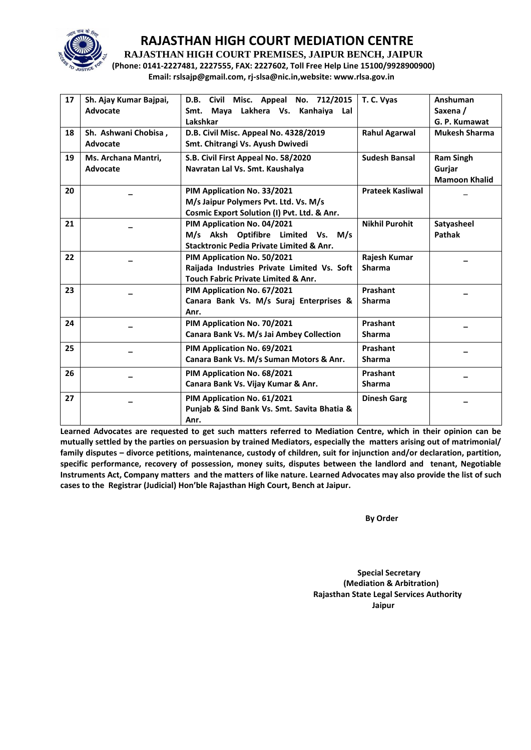

**RAJASTHAN HIGH COURT PREMISES, JAIPUR BENCH, JAIPUR**

**(Phone: 0141-2227481, 2227555, FAX: 2227602, Toll Free Help Line 15100/9928900900) Email: rslsajp@gmail.com, rj-slsa@nic.in,website: www.rlsa.gov.in**

| 17 | Sh. Ajay Kumar Bajpai, | D.B. Civil Misc. Appeal No. 712/2015           | T. C. Vyas              | Anshuman             |
|----|------------------------|------------------------------------------------|-------------------------|----------------------|
|    | Advocate               | Maya Lakhera Vs. Kanhaiya<br>Lal<br>Smt.       |                         | Saxena /             |
|    |                        | Lakshkar                                       |                         | G. P. Kumawat        |
| 18 | Sh. Ashwani Chobisa,   | D.B. Civil Misc. Appeal No. 4328/2019          | <b>Rahul Agarwal</b>    | <b>Mukesh Sharma</b> |
|    | Advocate               |                                                |                         |                      |
|    |                        | Smt. Chitrangi Vs. Ayush Dwivedi               |                         |                      |
| 19 | Ms. Archana Mantri.    | S.B. Civil First Appeal No. 58/2020            | <b>Sudesh Bansal</b>    | <b>Ram Singh</b>     |
|    | Advocate               | Navratan Lal Vs. Smt. Kaushalya                |                         | Gurjar               |
|    |                        |                                                |                         | <b>Mamoon Khalid</b> |
| 20 |                        | PIM Application No. 33/2021                    | <b>Prateek Kasliwal</b> |                      |
|    |                        | M/s Jaipur Polymers Pvt. Ltd. Vs. M/s          |                         |                      |
|    |                        | Cosmic Export Solution (I) Pvt. Ltd. & Anr.    |                         |                      |
| 21 |                        | PIM Application No. 04/2021                    | <b>Nikhil Purohit</b>   | Satyasheel           |
|    |                        | M/s Aksh Optifibre Limited Vs. M/s             |                         | Pathak               |
|    |                        | Stacktronic Pedia Private Limited & Anr.       |                         |                      |
| 22 |                        | PIM Application No. 50/2021                    | Rajesh Kumar            |                      |
|    |                        | Raijada Industries Private Limited Vs. Soft    | <b>Sharma</b>           |                      |
|    |                        | <b>Touch Fabric Private Limited &amp; Anr.</b> |                         |                      |
| 23 |                        | PIM Application No. 67/2021                    | Prashant                |                      |
|    |                        | Canara Bank Vs. M/s Suraj Enterprises &        | Sharma                  |                      |
|    |                        |                                                |                         |                      |
|    |                        | Anr.                                           |                         |                      |
| 24 |                        | PIM Application No. 70/2021                    | Prashant                |                      |
|    |                        | Canara Bank Vs. M/s Jai Ambey Collection       | <b>Sharma</b>           |                      |
| 25 |                        | PIM Application No. 69/2021                    | Prashant                |                      |
|    |                        | Canara Bank Vs. M/s Suman Motors & Anr.        | <b>Sharma</b>           |                      |
| 26 |                        | PIM Application No. 68/2021                    | Prashant                |                      |
|    |                        | Canara Bank Vs. Vijay Kumar & Anr.             | <b>Sharma</b>           |                      |
|    |                        |                                                |                         |                      |
| 27 |                        | PIM Application No. 61/2021                    | <b>Dinesh Garg</b>      |                      |
|    |                        | Punjab & Sind Bank Vs. Smt. Savita Bhatia &    |                         |                      |
|    |                        | Anr.                                           |                         |                      |

**Learned Advocates are requested to get such matters referred to Mediation Centre, which in their opinion can be mutually settled by the parties on persuasion by trained Mediators, especially the matters arising out of matrimonial/ family disputes – divorce petitions, maintenance, custody of children, suit for injunction and/or declaration, partition, specific performance, recovery of possession, money suits, disputes between the landlord and tenant, Negotiable Instruments Act, Company matters and the matters of like nature. Learned Advocates may also provide the list of such cases to the Registrar (Judicial) Hon'ble Rajasthan High Court, Bench at Jaipur.** 

**By Order** 

 **Special Secretary (Mediation & Arbitration) Rajasthan State Legal Services Authority Jaipur**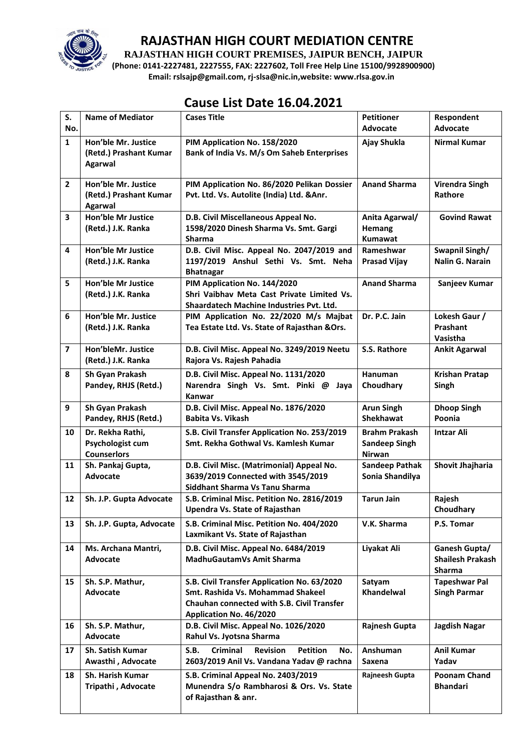

**RAJASTHAN HIGH COURT PREMISES, JAIPUR BENCH, JAIPUR**

**(Phone: 0141-2227481, 2227555, FAX: 2227602, Toll Free Help Line 15100/9928900900) Email: rslsajp@gmail.com, rj-slsa@nic.in,website: www.rlsa.gov.in**

# **Cause List Date 16.04.2021**

| S.                      | <b>Name of Mediator</b>                                    | <b>Cases Title</b>                                                                                                                                               | <b>Petitioner</b>                                      | Respondent                                                |
|-------------------------|------------------------------------------------------------|------------------------------------------------------------------------------------------------------------------------------------------------------------------|--------------------------------------------------------|-----------------------------------------------------------|
| No.                     |                                                            |                                                                                                                                                                  | <b>Advocate</b>                                        | <b>Advocate</b>                                           |
| $\mathbf{1}$            | Hon'ble Mr. Justice<br>(Retd.) Prashant Kumar<br>Agarwal   | PIM Application No. 158/2020<br>Bank of India Vs. M/s Om Saheb Enterprises                                                                                       | Ajay Shukla                                            | <b>Nirmal Kumar</b>                                       |
| $\overline{2}$          | Hon'ble Mr. Justice<br>(Retd.) Prashant Kumar<br>Agarwal   | PIM Application No. 86/2020 Pelikan Dossier<br>Pvt. Ltd. Vs. Autolite (India) Ltd. & Anr.                                                                        | <b>Anand Sharma</b>                                    | <b>Virendra Singh</b><br>Rathore                          |
| 3                       | <b>Hon'ble Mr Justice</b><br>(Retd.) J.K. Ranka            | D.B. Civil Miscellaneous Appeal No.<br>1598/2020 Dinesh Sharma Vs. Smt. Gargi<br><b>Sharma</b>                                                                   | Anita Agarwal/<br><b>Hemang</b><br><b>Kumawat</b>      | <b>Govind Rawat</b>                                       |
| $\overline{\mathbf{4}}$ | <b>Hon'ble Mr Justice</b><br>(Retd.) J.K. Ranka            | D.B. Civil Misc. Appeal No. 2047/2019 and<br>1197/2019 Anshul Sethi Vs. Smt. Neha<br><b>Bhatnagar</b>                                                            | Rameshwar<br><b>Prasad Vijay</b>                       | Swapnil Singh/<br>Nalin G. Narain                         |
| 5                       | <b>Hon'ble Mr Justice</b><br>(Retd.) J.K. Ranka            | PIM Application No. 144/2020<br>Shri Vaibhav Meta Cast Private Limited Vs.<br>Shaardatech Machine Industries Pvt. Ltd.                                           | <b>Anand Sharma</b>                                    | Sanjeev Kumar                                             |
| 6                       | Hon'ble Mr. Justice<br>(Retd.) J.K. Ranka                  | PIM Application No. 22/2020 M/s Majbat<br>Tea Estate Ltd. Vs. State of Rajasthan & Ors.                                                                          | Dr. P.C. Jain                                          | Lokesh Gaur /<br>Prashant<br>Vasistha                     |
| $\overline{\mathbf{z}}$ | Hon'bleMr. Justice<br>(Retd.) J.K. Ranka                   | D.B. Civil Misc. Appeal No. 3249/2019 Neetu<br>Rajora Vs. Rajesh Pahadia                                                                                         | S.S. Rathore                                           | <b>Ankit Agarwal</b>                                      |
| 8                       | Sh Gyan Prakash<br>Pandey, RHJS (Retd.)                    | D.B. Civil Misc. Appeal No. 1131/2020<br>Narendra Singh Vs. Smt. Pinki @<br>Jaya<br>Kanwar                                                                       | Hanuman<br>Choudhary                                   | <b>Krishan Pratap</b><br>Singh                            |
| 9                       | Sh Gyan Prakash<br>Pandey, RHJS (Retd.)                    | D.B. Civil Misc. Appeal No. 1876/2020<br><b>Babita Vs. Vikash</b>                                                                                                | <b>Arun Singh</b><br><b>Shekhawat</b>                  | <b>Dhoop Singh</b><br>Poonia                              |
| 10                      | Dr. Rekha Rathi,<br>Psychologist cum<br><b>Counserlors</b> | S.B. Civil Transfer Application No. 253/2019<br>Smt. Rekha Gothwal Vs. Kamlesh Kumar                                                                             | <b>Brahm Prakash</b><br><b>Sandeep Singh</b><br>Nirwan | <b>Intzar Ali</b>                                         |
| 11                      | Sh. Pankaj Gupta,<br>Advocate                              | D.B. Civil Misc. (Matrimonial) Appeal No.<br>3639/2019 Connected with 3545/2019<br>Siddhant Sharma Vs Tanu Sharma                                                | <b>Sandeep Pathak</b><br>Sonia Shandilya               | Shovit Jhajharia                                          |
| 12                      | Sh. J.P. Gupta Advocate                                    | S.B. Criminal Misc. Petition No. 2816/2019<br><b>Upendra Vs. State of Rajasthan</b>                                                                              | <b>Tarun Jain</b>                                      | Rajesh<br>Choudhary                                       |
| 13                      | Sh. J.P. Gupta, Advocate                                   | S.B. Criminal Misc. Petition No. 404/2020<br>Laxmikant Vs. State of Rajasthan                                                                                    | V.K. Sharma                                            | P.S. Tomar                                                |
| 14                      | Ms. Archana Mantri,<br>Advocate                            | D.B. Civil Misc. Appeal No. 6484/2019<br>MadhuGautamVs Amit Sharma                                                                                               | Liyakat Ali                                            | Ganesh Gupta/<br><b>Shailesh Prakash</b><br><b>Sharma</b> |
| 15                      | Sh. S.P. Mathur,<br>Advocate                               | S.B. Civil Transfer Application No. 63/2020<br>Smt. Rashida Vs. Mohammad Shakeel<br><b>Chauhan connected with S.B. Civil Transfer</b><br>Application No. 46/2020 | Satyam<br>Khandelwal                                   | <b>Tapeshwar Pal</b><br><b>Singh Parmar</b>               |
| 16                      | Sh. S.P. Mathur,<br>Advocate                               | D.B. Civil Misc. Appeal No. 1026/2020<br>Rahul Vs. Jyotsna Sharma                                                                                                | Rajnesh Gupta                                          | Jagdish Nagar                                             |
| 17                      | <b>Sh. Satish Kumar</b><br>Awasthi, Advocate               | <b>Criminal</b><br><b>Revision</b><br><b>Petition</b><br>S.B.<br>No.<br>2603/2019 Anil Vs. Vandana Yadav @ rachna                                                | Anshuman<br><b>Saxena</b>                              | <b>Anil Kumar</b><br>Yadav                                |
| 18                      | <b>Sh. Harish Kumar</b><br>Tripathi, Advocate              | S.B. Criminal Appeal No. 2403/2019<br>Munendra S/o Rambharosi & Ors. Vs. State<br>of Rajasthan & anr.                                                            | Rajneesh Gupta                                         | <b>Poonam Chand</b><br><b>Bhandari</b>                    |